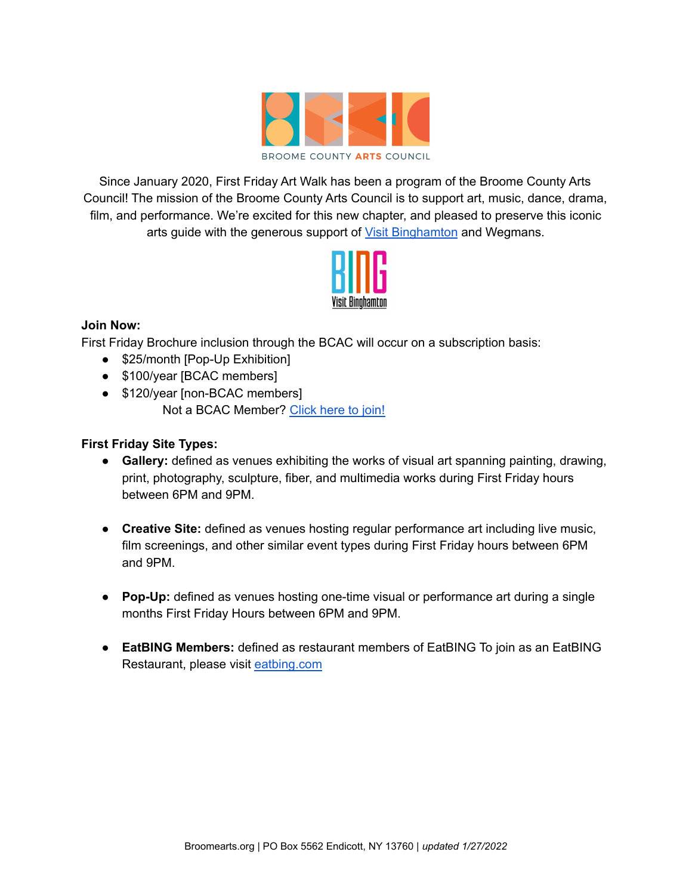

Since January 2020, First Friday Art Walk has been a program of the Broome County Arts Council! The mission of the Broome County Arts Council is to support art, music, dance, drama, film, and performance. We're excited for this new chapter, and pleased to preserve this iconic arts guide with the generous support of Visit [Binghamton](https://visitbinghamton.org/) and Wegmans.



## **Join Now:**

First Friday Brochure inclusion through the BCAC will occur on a subscription basis:

- \$25/month [Pop-Up Exhibition]
- \$100/year [BCAC members]
- \$120/year [non-BCAC members] Not a BCAC Member? [Click](https://broomearts.org/members/become-a-member/) here to join!

## **First Friday Site Types:**

- **Gallery:** defined as venues exhibiting the works of visual art spanning painting, drawing, print, photography, sculpture, fiber, and multimedia works during First Friday hours between 6PM and 9PM.
- **Creative Site:** defined as venues hosting regular performance art including live music, film screenings, and other similar event types during First Friday hours between 6PM and 9PM.
- **● Pop-Up:** defined as venues hosting one-time visual or performance art during a single months First Friday Hours between 6PM and 9PM.
- **EatBING Members:** defined as restaurant members of EatBING To join as an EatBING Restaurant, please visit [eatbing.com](https://eatbing.com/membership-form-page/)